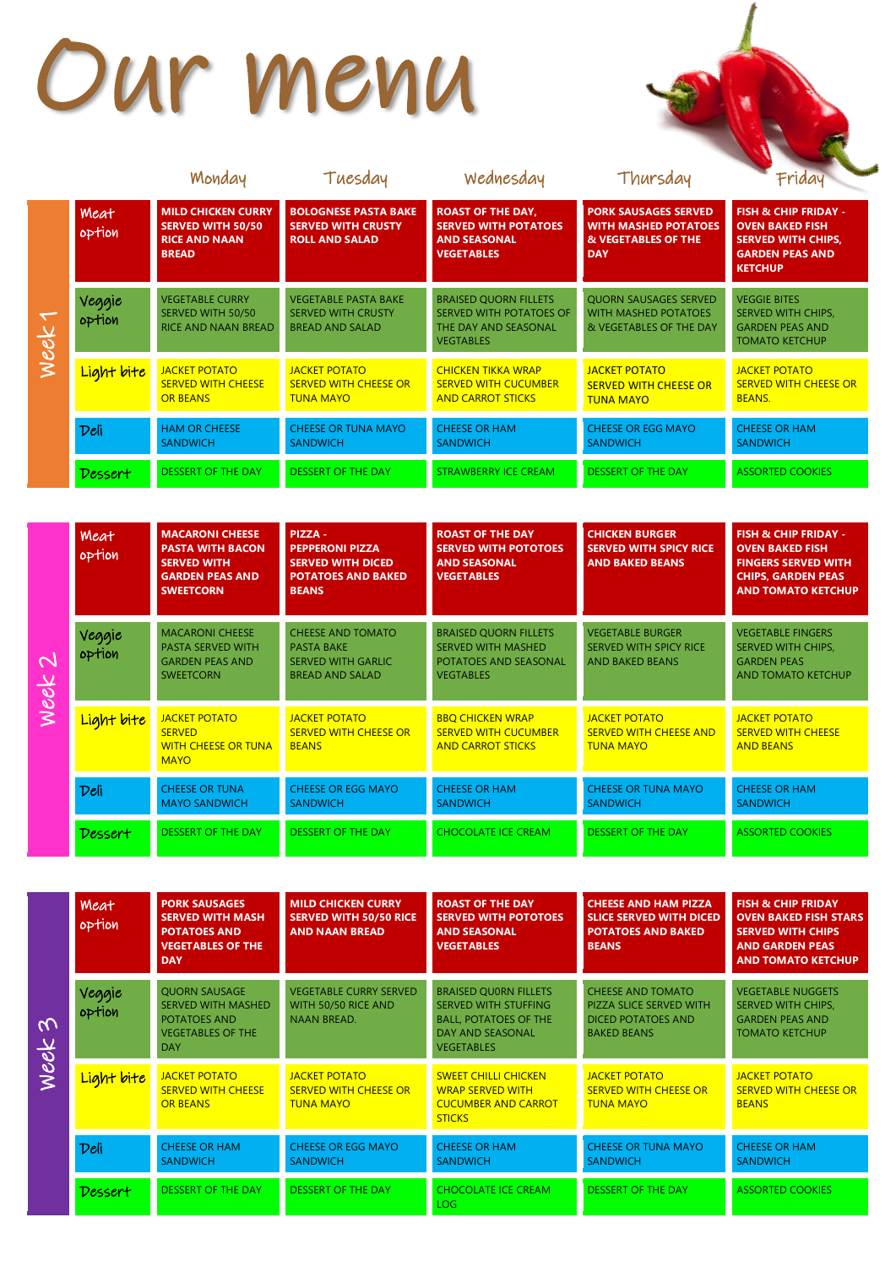## Our menu

|      |                       | Monday                                                                                        | Tuesday                                                                            | Wednesday                                                                                           | Thursday                                                                                        | Friday                                                                                                                             |
|------|-----------------------|-----------------------------------------------------------------------------------------------|------------------------------------------------------------------------------------|-----------------------------------------------------------------------------------------------------|-------------------------------------------------------------------------------------------------|------------------------------------------------------------------------------------------------------------------------------------|
|      | <b>Meat</b><br>option | <b>MILD CHICKEN CURRY</b><br><b>SERVED WITH 50/50</b><br><b>RICE AND NAAN</b><br><b>BREAD</b> | <b>BOLOGNESE PASTA BAKE</b><br><b>SERVED WITH CRUSTY</b><br><b>ROLL AND SALAD</b>  | <b>ROAST OF THE DAY,</b><br><b>SERVED WITH POTATOES</b><br><b>AND SEASONAL</b><br><b>VEGETABLES</b> | <b>PORK SAUSAGES SERVED</b><br><b>WITH MASHED POTATOES</b><br>& VEGETABLES OF THE<br><b>DAY</b> | <b>FISH &amp; CHIP FRIDAY -</b><br><b>OVEN BAKED FISH</b><br><b>SERVED WITH CHIPS,</b><br><b>GARDEN PEAS AND</b><br><b>KETCHUP</b> |
| week | Veggie<br>option      | <b>VEGETABLE CURRY</b><br>SERVED WITH 50/50<br>RICE AND NAAN BREAD                            | <b>VEGETABLE PASTA BAKE</b><br><b>SERVED WITH CRUSTY</b><br><b>BREAD AND SALAD</b> | <b>BRAISED QUORN FILLETS</b><br>SERVED WITH POTATOES OF<br>THE DAY AND SEASONAL<br><b>VEGTABLES</b> | <b>QUORN SAUSAGES SERVED</b><br><b>WITH MASHED POTATOES</b><br>& VEGETABLES OF THE DAY          | <b>VEGGIE BITES</b><br><b>SERVED WITH CHIPS,</b><br><b>GARDEN PEAS AND</b><br><b>TOMATO KETCHUP</b>                                |
|      | Light bite            | <b>JACKET POTATO</b><br><b>SERVED WITH CHEESE</b><br><b>OR BEANS</b>                          | <b>JACKET POTATO</b><br><b>SERVED WITH CHEESE OR</b><br><b>TUNA MAYO</b>           | <b>CHICKEN TIKKA WRAP</b><br><b>SERVED WITH CUCUMBER</b><br><b>AND CARROT STICKS</b>                | <b>JACKET POTATO</b><br><b>SERVED WITH CHEESE OR</b><br><b>TUNA MAYO</b>                        | JACKET POTATO<br><b>SERVED WITH CHEESE OR</b><br><b>BEANS.</b>                                                                     |
|      | Deli                  | <b>HAM OR CHEESE</b><br><b>SANDWICH</b>                                                       | <b>CHEESE OR TUNA MAYO</b><br><b>SANDWICH</b>                                      | <b>CHEESE OR HAM</b><br><b>SANDWICH</b>                                                             | <b>CHEESE OR EGG MAYO</b><br><b>SANDWICH</b>                                                    | <b>CHEESE OR HAM</b><br><b>SANDWICH</b>                                                                                            |
|      | Dessert               | <b>DESSERT OF THE DAY</b>                                                                     | <b>DESSERT OF THE DAY</b>                                                          | <b>STRAWBERRY ICE CREAM</b>                                                                         | <b>DESSERT OF THE DAY</b>                                                                       | <b>ASSORTED COOKIES</b>                                                                                                            |

|                                  | Meat<br>option   | <b>MACARONI CHEESE</b><br><b>PASTA WITH BACON</b><br><b>SERVED WITH</b><br><b>GARDEN PEAS AND</b><br><b>SWEETCORN</b> | PIZZA -<br><b>PEPPERONI PIZZA</b><br><b>SERVED WITH DICED</b><br><b>POTATOES AND BAKED</b><br><b>BEANS</b> | <b>ROAST OF THE DAY</b><br><b>SERVED WITH POTOTOES</b><br><b>AND SEASONAL</b><br><b>VEGETABLES</b>            | <b>CHICKEN BURGER</b><br><b>SERVED WITH SPICY RICE</b><br><b>AND BAKED BEANS</b>   | <b>FISH &amp; CHIP FRIDAY -</b><br><b>OVEN BAKED FISH</b><br><b>FINGERS SERVED WITH</b><br><b>CHIPS, GARDEN PEAS</b><br><b>AND TOMATO KETCHUP</b> |
|----------------------------------|------------------|-----------------------------------------------------------------------------------------------------------------------|------------------------------------------------------------------------------------------------------------|---------------------------------------------------------------------------------------------------------------|------------------------------------------------------------------------------------|---------------------------------------------------------------------------------------------------------------------------------------------------|
| $\overline{\mathcal{C}}$<br>week | Veggie<br>option | <b>MACARONI CHEESE</b><br><b>PASTA SERVED WITH</b><br><b>GARDEN PEAS AND</b><br><b>SWEETCORN</b>                      | <b>CHEESE AND TOMATO</b><br><b>PASTA BAKE</b><br><b>SERVED WITH GARLIC</b><br><b>BREAD AND SALAD</b>       | <b>BRAISED QUORN FILLETS</b><br><b>SERVED WITH MASHED</b><br><b>POTATOES AND SEASONAL</b><br><b>VEGTABLES</b> | <b>VEGETABLE BURGER</b><br><b>SERVED WITH SPICY RICE</b><br><b>AND BAKED BEANS</b> | <b>VEGETABLE FINGERS</b><br><b>SERVED WITH CHIPS,</b><br><b>GARDEN PEAS</b><br><b>AND TOMATO KETCHUP</b>                                          |
|                                  | Light bite       | JACKET POTATO<br><b>SERVED</b><br><b>WITH CHEESE OR TUNA</b><br><b>MAYO</b>                                           | <b>JACKET POTATO</b><br><b>SERVED WITH CHEESE OR</b><br><b>BEANS</b>                                       | <b>BBO CHICKEN WRAP</b><br><b>SERVED WITH CUCUMBER</b><br><b>AND CARROT STICKS</b>                            | <b>JACKET POTATO</b><br><b>SERVED WITH CHEESE AND</b><br><b>TUNA MAYO</b>          | <b>JACKET POTATO</b><br><b>SERVED WITH CHEESE</b><br><b>AND BEANS</b>                                                                             |
|                                  | Deli             | <b>CHEESE OR TUNA</b><br><b>MAYO SANDWICH</b>                                                                         | <b>CHEESE OR EGG MAYO</b><br><b>SANDWICH</b>                                                               | <b>CHEESE OR HAM</b><br><b>SANDWICH</b>                                                                       | <b>CHEESE OR TUNA MAYO</b><br><b>SANDWICH</b>                                      | <b>CHEESE OR HAM</b><br><b>SANDWICH</b>                                                                                                           |
|                                  | Dessert          | DESSERT OF THE DAY                                                                                                    | <b>DESSERT OF THE DAY</b>                                                                                  | <b>CHOCOLATE ICE CREAM</b>                                                                                    | <b>DESSERT OF THE DAY</b>                                                          | <b>ASSORTED COOKIES</b>                                                                                                                           |

|          | Meat<br>option   | <b>PORK SAUSAGES</b><br><b>SERVED WITH MASH</b><br><b>POTATOES AND</b><br><b>VEGETABLES OF THE</b><br><b>DAY</b>   | <b>MILD CHICKEN CURRY</b><br><b>SERVED WITH 50/50 RICE</b><br><b>AND NAAN BREAD</b> | <b>ROAST OF THE DAY</b><br><b>SERVED WITH POTOTOES</b><br><b>AND SEASONAL</b><br><b>VEGETABLES</b>                                   | <b>CHEESE AND HAM PIZZA</b><br><b>SLICE SERVED WITH DICED</b><br><b>POTATOES AND BAKED</b><br><b>BEANS</b> | <b>FISH &amp; CHIP FRIDAY</b><br><b>OVEN BAKED FISH STARS</b><br><b>SERVED WITH CHIPS</b><br><b>AND GARDEN PEAS</b><br><b>AND TOMATO KETCHUP</b> |
|----------|------------------|--------------------------------------------------------------------------------------------------------------------|-------------------------------------------------------------------------------------|--------------------------------------------------------------------------------------------------------------------------------------|------------------------------------------------------------------------------------------------------------|--------------------------------------------------------------------------------------------------------------------------------------------------|
| $\omega$ | Veggie<br>option | <b>QUORN SAUSAGE</b><br><b>SERVED WITH MASHED</b><br><b>POTATOES AND</b><br><b>VEGETABLES OF THE</b><br><b>DAY</b> | <b>VEGETABLE CURRY SERVED</b><br>WITH 50/50 RICE AND<br><b>NAAN BREAD.</b>          | <b>BRAISED QUORN FILLETS</b><br><b>SERVED WITH STUFFING</b><br><b>BALL, POTATOES OF THE</b><br>DAY AND SEASONAL<br><b>VEGETABLES</b> | <b>CHEESE AND TOMATO</b><br>PIZZA SLICE SERVED WITH<br><b>DICED POTATOES AND</b><br><b>BAKED BEANS</b>     | <b>VEGETABLE NUGGETS</b><br><b>SERVED WITH CHIPS,</b><br><b>GARDEN PEAS AND</b><br><b>TOMATO KETCHUP</b>                                         |
| week     | Light bite       | <b>JACKET POTATO</b><br><b>SERVED WITH CHEESE</b><br><b>OR BEANS</b>                                               | <b>JACKET POTATO</b><br><b>SERVED WITH CHEESE OR</b><br><b>TUNA MAYO</b>            | <b>SWEET CHILLI CHICKEN</b><br><b>WRAP SERVED WITH</b><br><b>CUCUMBER AND CARROT</b><br><b>STICKS</b>                                | <b>JACKET POTATO</b><br><b>SERVED WITH CHEESE OR</b><br><b>TUNA MAYO</b>                                   | <b>JACKET POTATO</b><br><b>SERVED WITH CHEESE OR</b><br><b>BEANS</b>                                                                             |
|          | Deli             | <b>CHEESE OR HAM</b><br><b>SANDWICH</b>                                                                            | <b>CHEESE OR EGG MAYO</b><br><b>SANDWICH</b>                                        | <b>CHEESE OR HAM</b><br><b>SANDWICH</b>                                                                                              | <b>CHEESE OR TUNA MAYO</b><br><b>SANDWICH</b>                                                              | <b>CHEESE OR HAM</b><br><b>SANDWICH</b>                                                                                                          |
|          | Dessert          | <b>DESSERT OF THE DAY</b>                                                                                          | <b>DESSERT OF THE DAY</b>                                                           | <b>CHOCOLATE ICE CREAM</b><br>LOG                                                                                                    | <b>DESSERT OF THE DAY</b>                                                                                  | <b>ASSORTED COOKIES</b>                                                                                                                          |